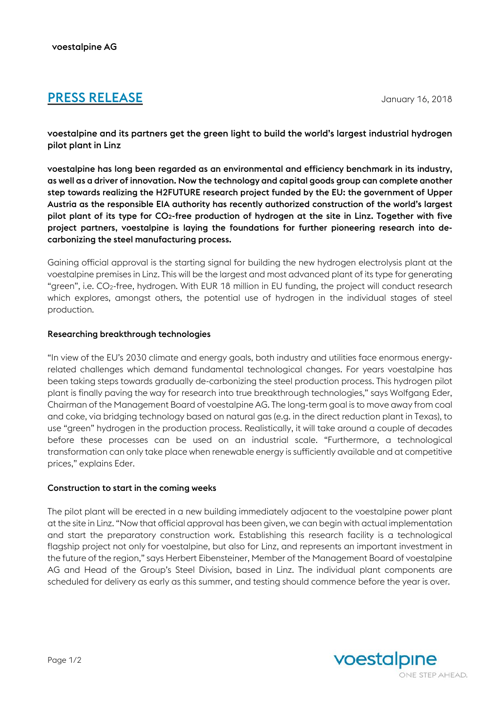# **PRESS RELEASE** January 16, 2018

voestalpine and its partners get the green light to build the world's largest industrial hydrogen pilot plant in Linz

voestalpine has long been regarded as an environmental and efficiency benchmark in its industry, as well as a driver of innovation. Now the technology and capital goods group can complete another step towards realizing the H2FUTURE research project funded by the EU: the government of Upper Austria as the responsible EIA authority has recently authorized construction of the world's largest pilot plant of its type for CO2-free production of hydrogen at the site in Linz. Together with five project partners, voestalpine is laying the foundations for further pioneering research into decarbonizing the steel manufacturing process.

Gaining official approval is the starting signal for building the new hydrogen electrolysis plant at the voestalpine premises in Linz. This will be the largest and most advanced plant of its type for generating "green", i.e. CO2-free, hydrogen. With EUR 18 million in EU funding, the project will conduct research which explores, amongst others, the potential use of hydrogen in the individual stages of steel production.

## Researching breakthrough technologies

"In view of the EU's 2030 climate and energy goals, both industry and utilities face enormous energyrelated challenges which demand fundamental technological changes. For years voestalpine has been taking steps towards gradually de-carbonizing the steel production process. This hydrogen pilot plant is finally paving the way for research into true breakthrough technologies," says Wolfgang Eder, Chairman of the Management Board of voestalpine AG. The long-term goal is to move away from coal and coke, via bridging technology based on natural gas (e.g. in the direct reduction plant in Texas), to use "green" hydrogen in the production process. Realistically, it will take around a couple of decades before these processes can be used on an industrial scale. "Furthermore, a technological transformation can only take place when renewable energy is sufficiently available and at competitive prices," explains Eder.

## Construction to start in the coming weeks

The pilot plant will be erected in a new building immediately adjacent to the voestalpine power plant at the site in Linz. "Now that official approval has been given, we can begin with actual implementation and start the preparatory construction work. Establishing this research facility is a technological flagship project not only for voestalpine, but also for Linz, and represents an important investment in the future of the region," says Herbert Eibensteiner, Member of the Management Board of voestalpine AG and Head of the Group's Steel Division, based in Linz. The individual plant components are scheduled for delivery as early as this summer, and testing should commence before the year is over.